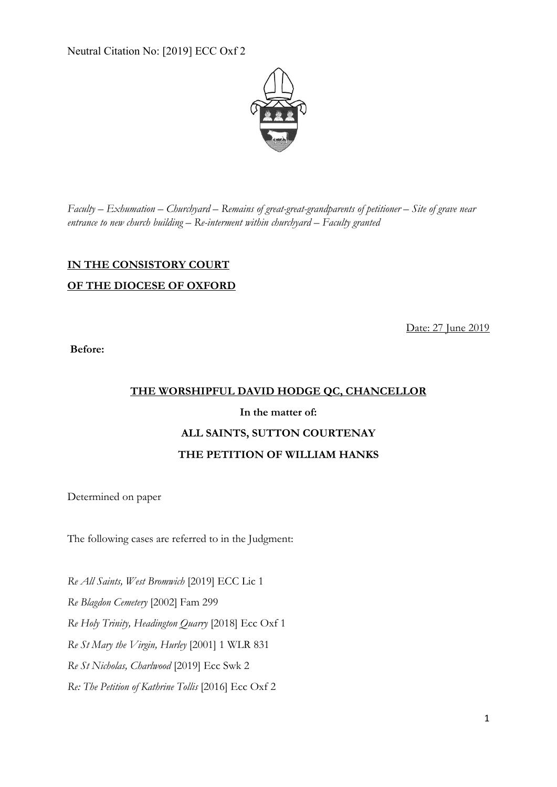Neutral Citation No: [2019] ECC Oxf 2



*Faculty – Exhumation – Churchyard – Remains of great-great-grandparents of petitioner – Site of grave near entrance to new church building – Re-interment within churchyard – Faculty granted*

## **IN THE CONSISTORY COURT OF THE DIOCESE OF OXFORD**

Date: 27 June 2019

**Before:**

### **THE WORSHIPFUL DAVID HODGE QC, CHANCELLOR**

# **In the matter of: ALL SAINTS, SUTTON COURTENAY THE PETITION OF WILLIAM HANKS**

Determined on paper

The following cases are referred to in the Judgment:

*Re All Saints, West Bromwich* [2019] ECC Lic 1 *Re Blagdon Cemetery* [2002] Fam 299 *Re Holy Trinity, Headington Quarry* [2018] Ecc Oxf 1 *Re St Mary the Virgin, Hurley* [2001] 1 WLR 831 *Re St Nicholas, Charlwood* [2019] Ecc Swk 2 *Re: The Petition of Kathrine Tollis* [2016] Ecc Oxf 2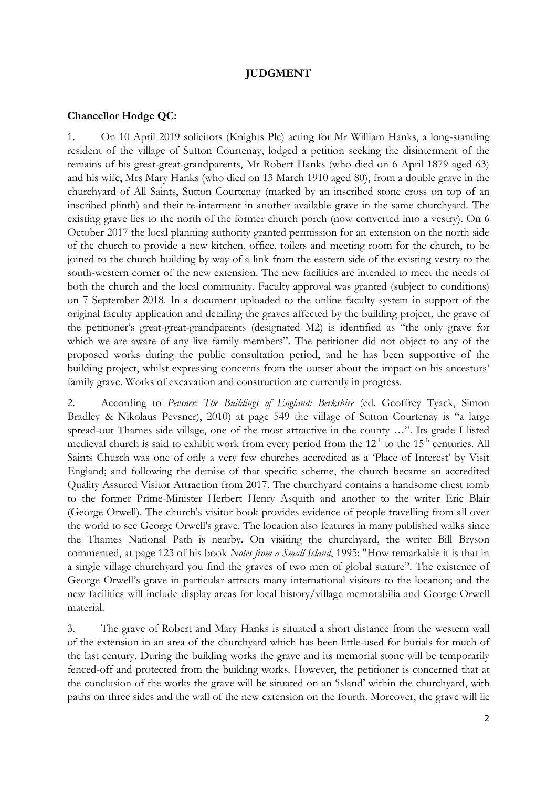### **JUDGMENT**

#### **Chancellor Hodge QC:**

1. On 10 April 2019 solicitors (Knights Plc) acting for Mr William Hanks, a long-standing resident of the village of Sutton Courtenay, lodged a petition seeking the disinterment of the remains of his great-great-grandparents, Mr Robert Hanks (who died on 6 April 1879 aged 63) and his wife, Mrs Mary Hanks (who died on 13 March 1910 aged 80), from a double grave in the churchyard of All Saints, Sutton Courtenay (marked by an inscribed stone cross on top of an inscribed plinth) and their re-interment in another available grave in the same churchyard. The existing grave lies to the north of the former church porch (now converted into a vestry). On 6 October 2017 the local planning authority granted permission for an extension on the north side of the church to provide a new kitchen, office, toilets and meeting room for the church, to be joined to the church building by way of a link from the eastern side of the existing vestry to the south-western corner of the new extension. The new facilities are intended to meet the needs of both the church and the local community. Faculty approval was granted (subject to conditions) on 7 September 2018. In a document uploaded to the online faculty system in support of the original faculty application and detailing the graves affected by the building project, the grave of the petitioner's great-great-grandparents (designated M2) is identified as "the only grave for which we are aware of any live family members". The petitioner did not object to any of the proposed works during the public consultation period, and he has been supportive of the building project, whilst expressing concerns from the outset about the impact on his ancestors' family grave. Works of excavation and construction are currently in progress.

2. According to *Pevsner: The Buildings of England: Berkshire* (ed. Geoffrey Tyack, Simon Bradley & Nikolaus Pevsner), 2010) at page 549 the village of Sutton Courtenay is "a large spread-out Thames side village, one of the most attractive in the county …". Its grade I listed medieval church is said to exhibit work from every period from the  $12<sup>th</sup>$  to the  $15<sup>th</sup>$  centuries. All Saints Church was one of only a very few churches accredited as a 'Place of Interest' by Visit England; and following the demise of that specific scheme, the church became an accredited Quality Assured Visitor Attraction from 2017. The churchyard contains a handsome chest tomb to the former Prime-Minister Herbert Henry Asquith and another to the writer Eric Blair (George Orwell). The church's visitor book provides evidence of people travelling from all over the world to see George Orwell's grave. The location also features in many published walks since the Thames National Path is nearby. On visiting the churchyard, the writer Bill Bryson commented, at page 123 of his book *Notes from a Small Island*, 1995: "How remarkable it is that in a single village churchyard you find the graves of two men of global stature". The existence of George Orwell's grave in particular attracts many international visitors to the location; and the new facilities will include display areas for local history/village memorabilia and George Orwell material.

3. The grave of Robert and Mary Hanks is situated a short distance from the western wall of the extension in an area of the churchyard which has been little-used for burials for much of the last century. During the building works the grave and its memorial stone will be temporarily fenced-off and protected from the building works. However, the petitioner is concerned that at the conclusion of the works the grave will be situated on an 'island' within the churchyard, with paths on three sides and the wall of the new extension on the fourth. Moreover, the grave will lie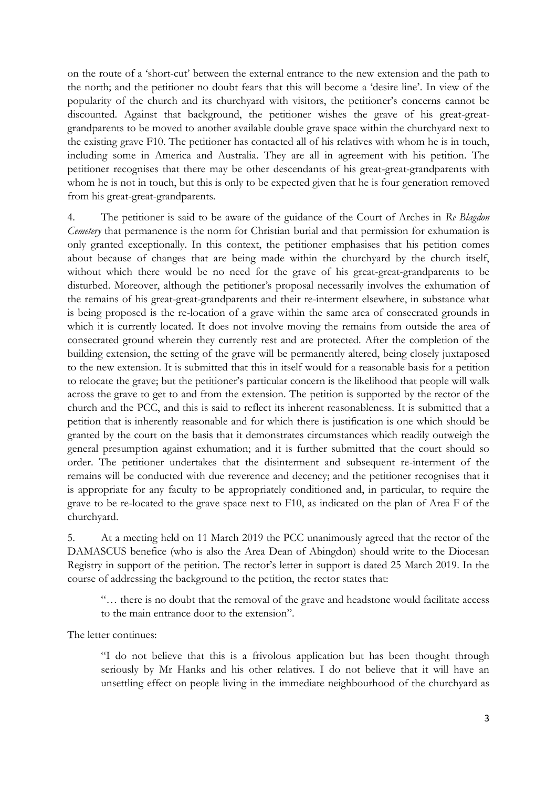on the route of a 'short-cut' between the external entrance to the new extension and the path to the north; and the petitioner no doubt fears that this will become a 'desire line'. In view of the popularity of the church and its churchyard with visitors, the petitioner's concerns cannot be discounted. Against that background, the petitioner wishes the grave of his great-greatgrandparents to be moved to another available double grave space within the churchyard next to the existing grave F10. The petitioner has contacted all of his relatives with whom he is in touch, including some in America and Australia. They are all in agreement with his petition. The petitioner recognises that there may be other descendants of his great-great-grandparents with whom he is not in touch, but this is only to be expected given that he is four generation removed from his great-great-grandparents.

4. The petitioner is said to be aware of the guidance of the Court of Arches in *Re Blagdon Cemetery* that permanence is the norm for Christian burial and that permission for exhumation is only granted exceptionally. In this context, the petitioner emphasises that his petition comes about because of changes that are being made within the churchyard by the church itself, without which there would be no need for the grave of his great-great-grandparents to be disturbed. Moreover, although the petitioner's proposal necessarily involves the exhumation of the remains of his great-great-grandparents and their re-interment elsewhere, in substance what is being proposed is the re-location of a grave within the same area of consecrated grounds in which it is currently located. It does not involve moving the remains from outside the area of consecrated ground wherein they currently rest and are protected. After the completion of the building extension, the setting of the grave will be permanently altered, being closely juxtaposed to the new extension. It is submitted that this in itself would for a reasonable basis for a petition to relocate the grave; but the petitioner's particular concern is the likelihood that people will walk across the grave to get to and from the extension. The petition is supported by the rector of the church and the PCC, and this is said to reflect its inherent reasonableness. It is submitted that a petition that is inherently reasonable and for which there is justification is one which should be granted by the court on the basis that it demonstrates circumstances which readily outweigh the general presumption against exhumation; and it is further submitted that the court should so order. The petitioner undertakes that the disinterment and subsequent re-interment of the remains will be conducted with due reverence and decency; and the petitioner recognises that it is appropriate for any faculty to be appropriately conditioned and, in particular, to require the grave to be re-located to the grave space next to F10, as indicated on the plan of Area F of the churchyard.

5. At a meeting held on 11 March 2019 the PCC unanimously agreed that the rector of the DAMASCUS benefice (who is also the Area Dean of Abingdon) should write to the Diocesan Registry in support of the petition. The rector's letter in support is dated 25 March 2019. In the course of addressing the background to the petition, the rector states that:

"… there is no doubt that the removal of the grave and headstone would facilitate access to the main entrance door to the extension".

The letter continues:

"I do not believe that this is a frivolous application but has been thought through seriously by Mr Hanks and his other relatives. I do not believe that it will have an unsettling effect on people living in the immediate neighbourhood of the churchyard as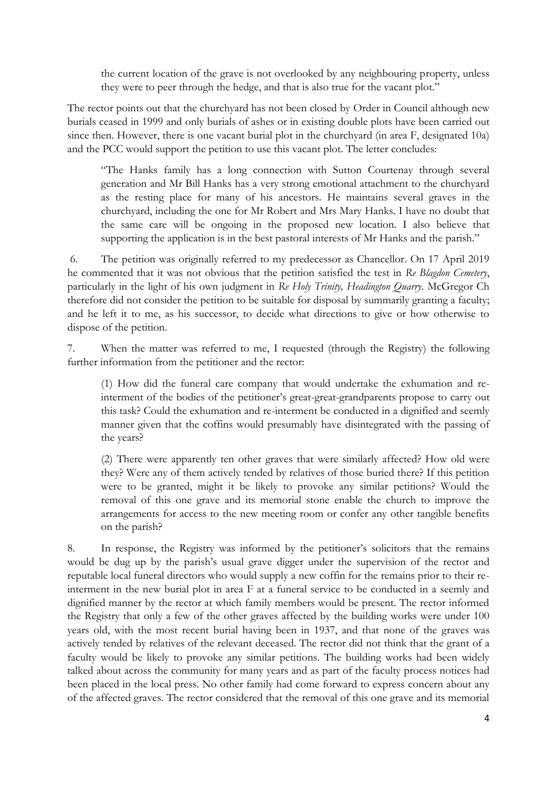the current location of the grave is not overlooked by any neighbouring property, unless they were to peer through the hedge, and that is also true for the vacant plot."

The rector points out that the churchyard has not been closed by Order in Council although new burials ceased in 1999 and only burials of ashes or in existing double plots have been carried out since then. However, there is one vacant burial plot in the churchyard (in area F, designated 10a) and the PCC would support the petition to use this vacant plot. The letter concludes:

"The Hanks family has a long connection with Sutton Courtenay through several generation and Mr Bill Hanks has a very strong emotional attachment to the churchyard as the resting place for many of his ancestors. He maintains several graves in the churchyard, including the one for Mr Robert and Mrs Mary Hanks. I have no doubt that the same care will be ongoing in the proposed new location. I also believe that supporting the application is in the best pastoral interests of Mr Hanks and the parish."

6. The petition was originally referred to my predecessor as Chancellor. On 17 April 2019 he commented that it was not obvious that the petition satisfied the test in *Re Blagdon Cemetery*, particularly in the light of his own judgment in *Re Holy Trinity, Headington Quarry*. McGregor Ch therefore did not consider the petition to be suitable for disposal by summarily granting a faculty; and he left it to me, as his successor, to decide what directions to give or how otherwise to dispose of the petition.

7. When the matter was referred to me, I requested (through the Registry) the following further information from the petitioner and the rector:

(1) How did the funeral care company that would undertake the exhumation and reinterment of the bodies of the petitioner's great-great-grandparents propose to carry out this task? Could the exhumation and re-interment be conducted in a dignified and seemly manner given that the coffins would presumably have disintegrated with the passing of the years?

(2) There were apparently ten other graves that were similarly affected? How old were they? Were any of them actively tended by relatives of those buried there? If this petition were to be granted, might it be likely to provoke any similar petitions? Would the removal of this one grave and its memorial stone enable the church to improve the arrangements for access to the new meeting room or confer any other tangible benefits on the parish?

8. In response, the Registry was informed by the petitioner's solicitors that the remains would be dug up by the parish's usual grave digger under the supervision of the rector and reputable local funeral directors who would supply a new coffin for the remains prior to their reinterment in the new burial plot in area F at a funeral service to be conducted in a seemly and dignified manner by the rector at which family members would be present. The rector informed the Registry that only a few of the other graves affected by the building works were under 100 years old, with the most recent burial having been in 1937, and that none of the graves was actively tended by relatives of the relevant deceased. The rector did not think that the grant of a faculty would be likely to provoke any similar petitions. The building works had been widely talked about across the community for many years and as part of the faculty process notices had been placed in the local press. No other family had come forward to express concern about any of the affected graves. The rector considered that the removal of this one grave and its memorial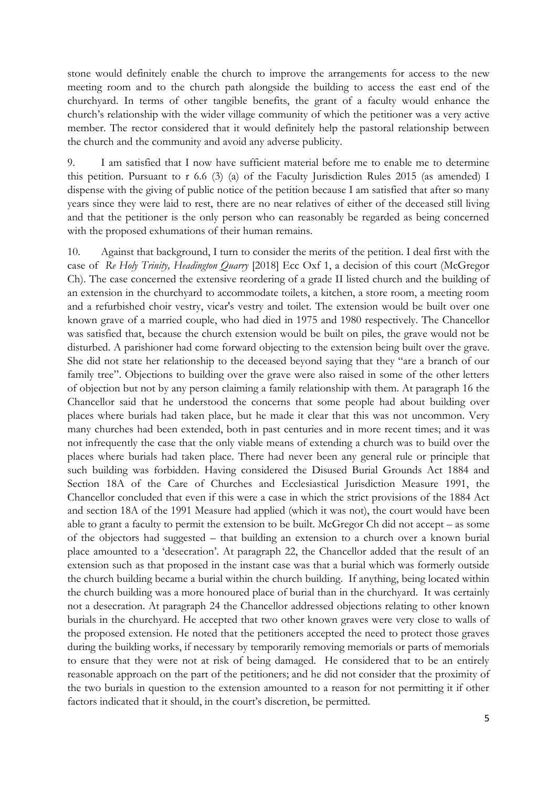stone would definitely enable the church to improve the arrangements for access to the new meeting room and to the church path alongside the building to access the east end of the churchyard. In terms of other tangible benefits, the grant of a faculty would enhance the church's relationship with the wider village community of which the petitioner was a very active member. The rector considered that it would definitely help the pastoral relationship between the church and the community and avoid any adverse publicity.

9. I am satisfied that I now have sufficient material before me to enable me to determine this petition. Pursuant to r 6.6 (3) (a) of the Faculty Jurisdiction Rules 2015 (as amended) I dispense with the giving of public notice of the petition because I am satisfied that after so many years since they were laid to rest, there are no near relatives of either of the deceased still living and that the petitioner is the only person who can reasonably be regarded as being concerned with the proposed exhumations of their human remains.

10. Against that background, I turn to consider the merits of the petition. I deal first with the case of *Re Holy Trinity, Headington Quarry* [2018] Ecc Oxf 1, a decision of this court (McGregor Ch). The case concerned the extensive reordering of a grade II listed church and the building of an extension in the churchyard to accommodate toilets, a kitchen, a store room, a meeting room and a refurbished choir vestry, vicar's vestry and toilet. The extension would be built over one known grave of a married couple, who had died in 1975 and 1980 respectively. The Chancellor was satisfied that, because the church extension would be built on piles, the grave would not be disturbed. A parishioner had come forward objecting to the extension being built over the grave. She did not state her relationship to the deceased beyond saying that they "are a branch of our family tree". Objections to building over the grave were also raised in some of the other letters of objection but not by any person claiming a family relationship with them. At paragraph 16 the Chancellor said that he understood the concerns that some people had about building over places where burials had taken place, but he made it clear that this was not uncommon. Very many churches had been extended, both in past centuries and in more recent times; and it was not infrequently the case that the only viable means of extending a church was to build over the places where burials had taken place. There had never been any general rule or principle that such building was forbidden. Having considered the Disused Burial Grounds Act 1884 and Section 18A of the Care of Churches and Ecclesiastical Jurisdiction Measure 1991, the Chancellor concluded that even if this were a case in which the strict provisions of the 1884 Act and section 18A of the 1991 Measure had applied (which it was not), the court would have been able to grant a faculty to permit the extension to be built. McGregor Ch did not accept – as some of the objectors had suggested – that building an extension to a church over a known burial place amounted to a 'desecration'. At paragraph 22, the Chancellor added that the result of an extension such as that proposed in the instant case was that a burial which was formerly outside the church building became a burial within the church building. If anything, being located within the church building was a more honoured place of burial than in the churchyard. It was certainly not a desecration. At paragraph 24 the Chancellor addressed objections relating to other known burials in the churchyard. He accepted that two other known graves were very close to walls of the proposed extension. He noted that the petitioners accepted the need to protect those graves during the building works, if necessary by temporarily removing memorials or parts of memorials to ensure that they were not at risk of being damaged. He considered that to be an entirely reasonable approach on the part of the petitioners; and he did not consider that the proximity of the two burials in question to the extension amounted to a reason for not permitting it if other factors indicated that it should, in the court's discretion, be permitted.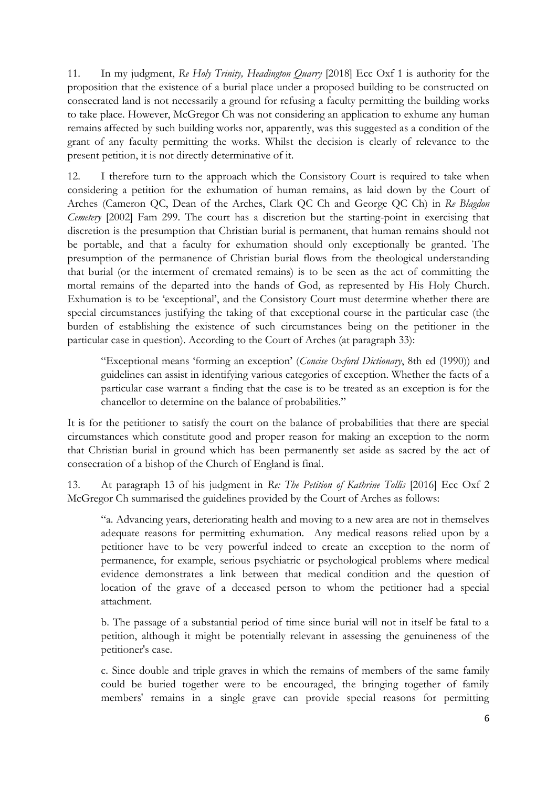11. In my judgment, *Re Holy Trinity, Headington Quarry* [2018] Ecc Oxf 1 is authority for the proposition that the existence of a burial place under a proposed building to be constructed on consecrated land is not necessarily a ground for refusing a faculty permitting the building works to take place. However, McGregor Ch was not considering an application to exhume any human remains affected by such building works nor, apparently, was this suggested as a condition of the grant of any faculty permitting the works. Whilst the decision is clearly of relevance to the present petition, it is not directly determinative of it.

12. I therefore turn to the approach which the Consistory Court is required to take when considering a petition for the exhumation of human remains, as laid down by the Court of Arches (Cameron QC, Dean of the Arches, Clark QC Ch and George QC Ch) in *Re Blagdon Cemetery* [2002] Fam 299. The court has a discretion but the starting-point in exercising that discretion is the presumption that Christian burial is permanent, that human remains should not be portable, and that a faculty for exhumation should only exceptionally be granted. The presumption of the permanence of Christian burial flows from the theological understanding that burial (or the interment of cremated remains) is to be seen as the act of committing the mortal remains of the departed into the hands of God, as represented by His Holy Church. Exhumation is to be 'exceptional', and the Consistory Court must determine whether there are special circumstances justifying the taking of that exceptional course in the particular case (the burden of establishing the existence of such circumstances being on the petitioner in the particular case in question). According to the Court of Arches (at paragraph 33):

"Exceptional means 'forming an exception' (*Concise Oxford Dictionary*, 8th ed (1990)) and guidelines can assist in identifying various categories of exception. Whether the facts of a particular case warrant a finding that the case is to be treated as an exception is for the chancellor to determine on the balance of probabilities."

It is for the petitioner to satisfy the court on the balance of probabilities that there are special circumstances which constitute good and proper reason for making an exception to the norm that Christian burial in ground which has been permanently set aside as sacred by the act of consecration of a bishop of the Church of England is final.

13. At paragraph 13 of his judgment in *Re: The Petition of Kathrine Tollis* [2016] Ecc Oxf 2 McGregor Ch summarised the guidelines provided by the Court of Arches as follows:

"a. Advancing years, deteriorating health and moving to a new area are not in themselves adequate reasons for permitting exhumation. Any medical reasons relied upon by a petitioner have to be very powerful indeed to create an exception to the norm of permanence, for example, serious psychiatric or psychological problems where medical evidence demonstrates a link between that medical condition and the question of location of the grave of a deceased person to whom the petitioner had a special attachment.

b. The passage of a substantial period of time since burial will not in itself be fatal to a petition, although it might be potentially relevant in assessing the genuineness of the petitioner's case.

c. Since double and triple graves in which the remains of members of the same family could be buried together were to be encouraged, the bringing together of family members' remains in a single grave can provide special reasons for permitting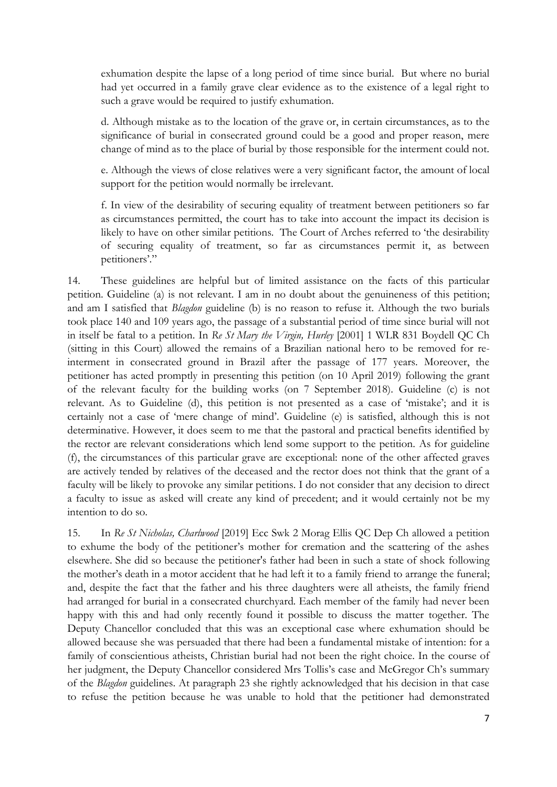exhumation despite the lapse of a long period of time since burial. But where no burial had yet occurred in a family grave clear evidence as to the existence of a legal right to such a grave would be required to justify exhumation.

d. Although mistake as to the location of the grave or, in certain circumstances, as to the significance of burial in consecrated ground could be a good and proper reason, mere change of mind as to the place of burial by those responsible for the interment could not.

e. Although the views of close relatives were a very significant factor, the amount of local support for the petition would normally be irrelevant.

f. In view of the desirability of securing equality of treatment between petitioners so far as circumstances permitted, the court has to take into account the impact its decision is likely to have on other similar petitions. The Court of Arches referred to 'the desirability of securing equality of treatment, so far as circumstances permit it, as between petitioners'."

14. These guidelines are helpful but of limited assistance on the facts of this particular petition. Guideline (a) is not relevant. I am in no doubt about the genuineness of this petition; and am I satisfied that *Blagdon* guideline (b) is no reason to refuse it. Although the two burials took place 140 and 109 years ago, the passage of a substantial period of time since burial will not in itself be fatal to a petition. In *Re St Mary the Virgin, Hurley* [2001] 1 WLR 831 Boydell QC Ch (sitting in this Court) allowed the remains of a Brazilian national hero to be removed for reinterment in consecrated ground in Brazil after the passage of 177 years. Moreover, the petitioner has acted promptly in presenting this petition (on 10 April 2019) following the grant of the relevant faculty for the building works (on 7 September 2018). Guideline (c) is not relevant. As to Guideline (d), this petition is not presented as a case of 'mistake'; and it is certainly not a case of 'mere change of mind'. Guideline (e) is satisfied, although this is not determinative. However, it does seem to me that the pastoral and practical benefits identified by the rector are relevant considerations which lend some support to the petition. As for guideline (f), the circumstances of this particular grave are exceptional: none of the other affected graves are actively tended by relatives of the deceased and the rector does not think that the grant of a faculty will be likely to provoke any similar petitions. I do not consider that any decision to direct a faculty to issue as asked will create any kind of precedent; and it would certainly not be my intention to do so.

15. In *Re St Nicholas, Charlwood* [2019] Ecc Swk 2 Morag Ellis QC Dep Ch allowed a petition to exhume the body of the petitioner's mother for cremation and the scattering of the ashes elsewhere. She did so because the petitioner's father had been in such a state of shock following the mother's death in a motor accident that he had left it to a family friend to arrange the funeral; and, despite the fact that the father and his three daughters were all atheists, the family friend had arranged for burial in a consecrated churchyard. Each member of the family had never been happy with this and had only recently found it possible to discuss the matter together. The Deputy Chancellor concluded that this was an exceptional case where exhumation should be allowed because she was persuaded that there had been a fundamental mistake of intention: for a family of conscientious atheists, Christian burial had not been the right choice. In the course of her judgment, the Deputy Chancellor considered Mrs Tollis's case and McGregor Ch's summary of the *Blagdon* guidelines. At paragraph 23 she rightly acknowledged that his decision in that case to refuse the petition because he was unable to hold that the petitioner had demonstrated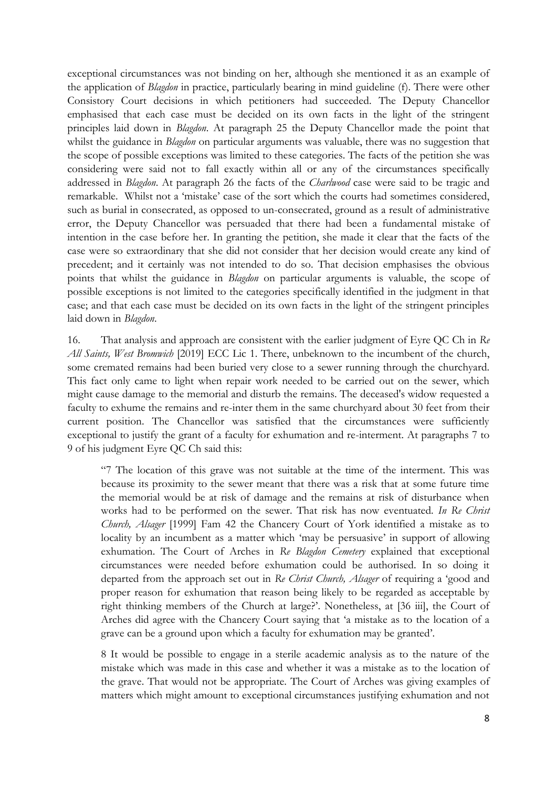exceptional circumstances was not binding on her, although she mentioned it as an example of the application of *Blagdon* in practice, particularly bearing in mind guideline (f). There were other Consistory Court decisions in which petitioners had succeeded. The Deputy Chancellor emphasised that each case must be decided on its own facts in the light of the stringent principles laid down in *Blagdon*. At paragraph 25 the Deputy Chancellor made the point that whilst the guidance in *Blagdon* on particular arguments was valuable, there was no suggestion that the scope of possible exceptions was limited to these categories. The facts of the petition she was considering were said not to fall exactly within all or any of the circumstances specifically addressed in *Blagdon*. At paragraph 26 the facts of the *Charlwood* case were said to be tragic and remarkable. Whilst not a 'mistake' case of the sort which the courts had sometimes considered, such as burial in consecrated, as opposed to un-consecrated, ground as a result of administrative error, the Deputy Chancellor was persuaded that there had been a fundamental mistake of intention in the case before her. In granting the petition, she made it clear that the facts of the case were so extraordinary that she did not consider that her decision would create any kind of precedent; and it certainly was not intended to do so. That decision emphasises the obvious points that whilst the guidance in *Blagdon* on particular arguments is valuable, the scope of possible exceptions is not limited to the categories specifically identified in the judgment in that case; and that each case must be decided on its own facts in the light of the stringent principles laid down in *Blagdon*.

16. That analysis and approach are consistent with the earlier judgment of Eyre QC Ch in *Re All Saints, West Bromwich* [2019] ECC Lic 1. There, unbeknown to the incumbent of the church, some cremated remains had been buried very close to a sewer running through the churchyard. This fact only came to light when repair work needed to be carried out on the sewer, which might cause damage to the memorial and disturb the remains. The deceased's widow requested a faculty to exhume the remains and re-inter them in the same churchyard about 30 feet from their current position. The Chancellor was satisfied that the circumstances were sufficiently exceptional to justify the grant of a faculty for exhumation and re-interment. At paragraphs 7 to 9 of his judgment Eyre QC Ch said this:

"7 The location of this grave was not suitable at the time of the interment. This was because its proximity to the sewer meant that there was a risk that at some future time the memorial would be at risk of damage and the remains at risk of disturbance when works had to be performed on the sewer. That risk has now eventuated. *In Re Christ Church, Alsager* [1999] Fam 42 the Chancery Court of York identified a mistake as to locality by an incumbent as a matter which 'may be persuasive' in support of allowing exhumation. The Court of Arches in *Re Blagdon Cemetery* explained that exceptional circumstances were needed before exhumation could be authorised. In so doing it departed from the approach set out in *Re Christ Church, Alsager* of requiring a 'good and proper reason for exhumation that reason being likely to be regarded as acceptable by right thinking members of the Church at large?'. Nonetheless, at [36 iii], the Court of Arches did agree with the Chancery Court saying that 'a mistake as to the location of a grave can be a ground upon which a faculty for exhumation may be granted'.

8 It would be possible to engage in a sterile academic analysis as to the nature of the mistake which was made in this case and whether it was a mistake as to the location of the grave. That would not be appropriate. The Court of Arches was giving examples of matters which might amount to exceptional circumstances justifying exhumation and not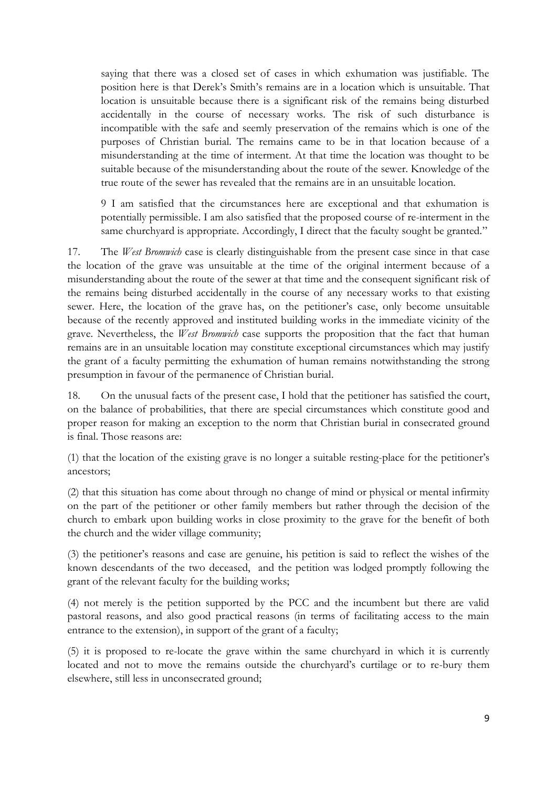saying that there was a closed set of cases in which exhumation was justifiable. The position here is that Derek's Smith's remains are in a location which is unsuitable. That location is unsuitable because there is a significant risk of the remains being disturbed accidentally in the course of necessary works. The risk of such disturbance is incompatible with the safe and seemly preservation of the remains which is one of the purposes of Christian burial. The remains came to be in that location because of a misunderstanding at the time of interment. At that time the location was thought to be suitable because of the misunderstanding about the route of the sewer. Knowledge of the true route of the sewer has revealed that the remains are in an unsuitable location.

9 I am satisfied that the circumstances here are exceptional and that exhumation is potentially permissible. I am also satisfied that the proposed course of re-interment in the same churchyard is appropriate. Accordingly, I direct that the faculty sought be granted."

17. The *West Bromwich* case is clearly distinguishable from the present case since in that case the location of the grave was unsuitable at the time of the original interment because of a misunderstanding about the route of the sewer at that time and the consequent significant risk of the remains being disturbed accidentally in the course of any necessary works to that existing sewer. Here, the location of the grave has, on the petitioner's case, only become unsuitable because of the recently approved and instituted building works in the immediate vicinity of the grave. Nevertheless, the *West Bromwich* case supports the proposition that the fact that human remains are in an unsuitable location may constitute exceptional circumstances which may justify the grant of a faculty permitting the exhumation of human remains notwithstanding the strong presumption in favour of the permanence of Christian burial.

18. On the unusual facts of the present case, I hold that the petitioner has satisfied the court, on the balance of probabilities, that there are special circumstances which constitute good and proper reason for making an exception to the norm that Christian burial in consecrated ground is final. Those reasons are:

(1) that the location of the existing grave is no longer a suitable resting-place for the petitioner's ancestors;

(2) that this situation has come about through no change of mind or physical or mental infirmity on the part of the petitioner or other family members but rather through the decision of the church to embark upon building works in close proximity to the grave for the benefit of both the church and the wider village community;

(3) the petitioner's reasons and case are genuine, his petition is said to reflect the wishes of the known descendants of the two deceased, and the petition was lodged promptly following the grant of the relevant faculty for the building works;

(4) not merely is the petition supported by the PCC and the incumbent but there are valid pastoral reasons, and also good practical reasons (in terms of facilitating access to the main entrance to the extension), in support of the grant of a faculty;

(5) it is proposed to re-locate the grave within the same churchyard in which it is currently located and not to move the remains outside the churchyard's curtilage or to re-bury them elsewhere, still less in unconsecrated ground;